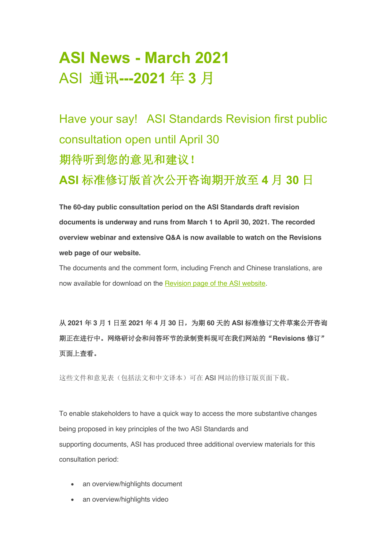# **ASI News - March 2021** ASI 通讯**---2021** 年 **3** 月

Have your say! ASI Standards Revision first public consultation open until April 30 期待听到您的意见和建议! **ASI** 标准修订版首次公开咨询期开放至 **4** 月 **30** 日

**The 60-day public consultation period on the ASI Standards draft revision documents is underway and runs from March 1 to April 30, 2021. The recorded overview webinar and extensive Q&A is now available to watch on the Revisions web page of our website.**

The documents and the comment form, including French and Chinese translations, are now available for download on the Revision page of the ASI website.

从 **2021** 年 **3** 月 **1** 日至 **2021** 年 **4** 月 **30** 日,为期 **60** 天的 **ASI** 标准修订文件草案公开咨询 期正在进行中。网络研讨会和问答环节的录制资料现可在我们网站的"**Revisions** 修订" 页面上查看。

这些文件和意见表(包括法文和中文译本)可在 ASI 网站的修订版页面下载。

To enable stakeholders to have a quick way to access the more substantive changes being proposed in key principles of the two ASI Standards and supporting documents, ASI has produced three additional overview materials for this consultation period:

- an overview/highlights document
- an overview/highlights video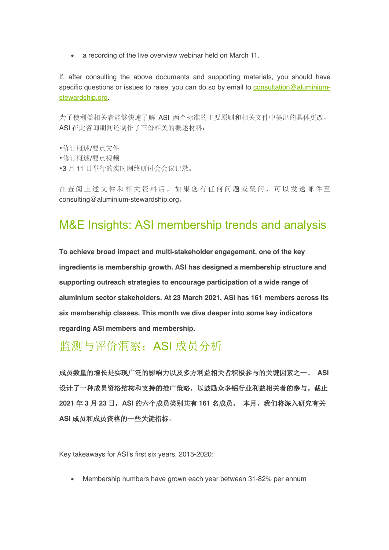• a recording of the live overview webinar held on March 11.

If, after consulting the above documents and supporting materials, you should have specific questions or issues to raise, you can do so by email to consultation@aluminiumstewardship.org.

为了使利益相关者能够快速了解 ASI 两个标准的主要原则和相关文件中提出的具体更改, ASI 在此咨询期间还制作了三份相关的概述材料:

•修订概述/要点文件 •修订概述/要点视频 •3 月 11 日举行的实时网络研讨会会议记录。

在查阅上述文件和相关资料后,如果您有任何问题或疑问,可以发送邮件至 consulting@aluminium-stewardship.org。

### M&E Insights: ASI membership trends and analysis

**To achieve broad impact and multi-stakeholder engagement, one of the key ingredients is membership growth. ASI has designed a membership structure and supporting outreach strategies to encourage participation of a wide range of aluminium sector stakeholders. At 23 March 2021, ASI has 161 members across its six membership classes. This month we dive deeper into some key indicators regarding ASI members and membership.** 

# 监测与评价洞察:ASI 成员分析

成员数量的增长是实现广泛的影响力以及多方利益相关者积极参与的关键因素之一。 **ASI** 设计了一种成员资格结构和支持的推广策略,以鼓励众多铝行业利益相关者的参与。截止 **2021** 年 **3** 月 **23** 日,**ASI** 的六个成员类别共有 **161** 名成员。 本月,我们将深入研究有关 **ASI** 成员和成员资格的一些关键指标。

Key takeaways for ASI's first six years, 2015-2020:

• Membership numbers have grown each year between 31-82% per annum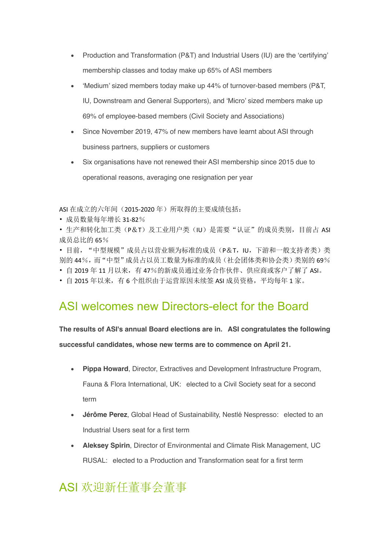- Production and Transformation (P&T) and Industrial Users (IU) are the 'certifying' membership classes and today make up 65% of ASI members
- 'Medium' sized members today make up 44% of turnover-based members (P&T, IU, Downstream and General Supporters), and 'Micro' sized members make up 69% of employee-based members (Civil Society and Associations)
- Since November 2019, 47% of new members have learnt about ASI through business partners, suppliers or customers
- Six organisations have not renewed their ASI membership since 2015 due to operational reasons, averaging one resignation per year

ASI 在成立的六年间(2015-2020年)所取得的主要成绩包括:

- 成员数量每年增长 31-82%
- 生产和转化加工类(P&T)及工业用户类(IU)是需要"认证"的成员类别,目前占 ASI 成员总比的 65%

· 目前, "中型规模"成员占以营业额为标准的成员(P&T, IU, 下游和一般支持者类)类 别的 44%,而"中型"成员占以员工数量为标准的成员(社会团体类和协会类)类别的 69%

- 自 2019 年 11 月以来, 有 47%的新成员通过业务合作伙伴、供应商或客户了解了 ASI。
- 自 2015 年以来,有 6 个组织由于运营原因未续签 ASI 成员资格,平均每年 1 家。

### ASI welcomes new Directors-elect for the Board

**The results of ASI's annual Board elections are in. ASI congratulates the following successful candidates, whose new terms are to commence on April 21.**

- **Pippa Howard**, Director, Extractives and Development Infrastructure Program, Fauna & Flora International, UK: elected to a Civil Society seat for a second term
- **Jérôme Perez**, Global Head of Sustainability, Nestlé Nespresso: elected to an Industrial Users seat for a first term
- **Aleksey Spirin**, Director of Environmental and Climate Risk Management, UC RUSAL: elected to a Production and Transformation seat for a first term

# ASI 欢迎新任董事会董事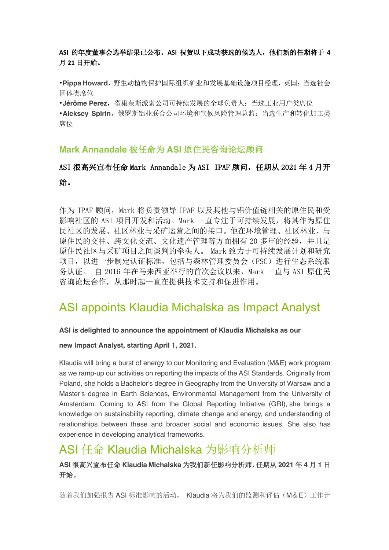#### **ASI** 的年度董事会选举结果已公布。**ASI** 祝贺以下成功获选的候选人,他们新的任期将于 **4** 月 **21** 日开始。

•**Pippa Howard**,野生动植物保护国际组织矿业和发展基础设施项目经理,英国:当选社会 团体类席位

•**Jérôme Perez**,雀巢奈斯派索公司可持续发展的全球负责人:当选工业用户类席位

•**Aleksey Spirin**,俄罗斯铝业联合公司环境和气候风险管理总监:当选生产和转化加工类 席位

#### **Mark Annandale** 被任命为 **ASI** 原住民咨询论坛顾问

#### ASI 很高兴宣布任命 Mark Annandale 为 ASI IPAF 顾问,任期从 2021 年 4 月开 始。

作为 IPAF 顾问, Mark 将负责领导 IPAF 以及其他与铝价值链相关的原住民和受 影响社区的 ASI 项目开发和活动。Mark 一直专注于可持续发展,将其作为原住 民社区的发展、社区林业与采矿运营之间的接口。他在环境管理、社区林业、与 原住民的交往、跨文化交流、文化遗产管理等方面拥有 20 多年的经验,并且是 原住民社区与采矿项目之间谈判的牵头人。 Mark 致力于可持续发展计划和研究 项目,以进一步制定认证标准,包括与森林管理委员会(FSC)进行生态系统服 务认证。 自 2016 年在马来西亚举行的首次会议以来,Mark 一直与 ASI 原住民 咨询论坛合作,从那时起一直在提供技术支持和促进作用。

### ASI appoints Klaudia Michalska as Impact Analyst

#### **ASI is delighted to announce the appointment of Klaudia Michalska as our**

#### **new Impact Analyst, starting April 1, 2021.**

Klaudia will bring a burst of energy to our Monitoring and Evaluation (M&E) work program as we ramp-up our activities on reporting the impacts of the ASI Standards. Originally from Poland, she holds a Bachelor's degree in Geography from the University of Warsaw and a Master's degree in Earth Sciences, Environmental Management from the University of Amsterdam. Coming to ASI from the Global Reporting Initiative (GRI), she brings a knowledge on sustainability reporting, climate change and energy, and understanding of relationships between these and broader social and economic issues. She also has experience in developing analytical frameworks.

### ASI 任命 Klaudia Michalska 为影响分析师

#### **ASI** 很高兴宣布任命 **Klaudia Michalska** 为我们新任影响分析师,任期从 **2021** 年 **4** 月 **1** 日 开始。

随着我们加强报告 ASI 标准影响的活动, Klaudia 将为我们的监测和评估(M&E)工作计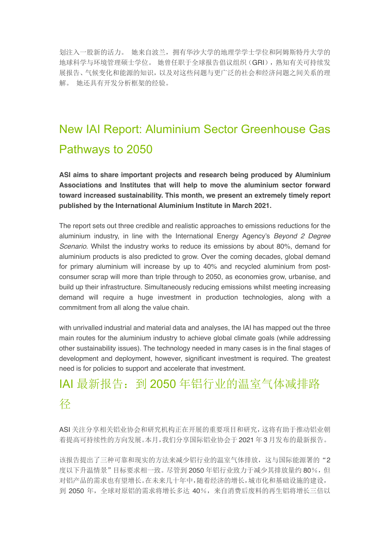划注入一股新的活力。 她来自波兰,拥有华沙大学的地理学学士学位和阿姆斯特丹大学的 地球科学与环境管理硕士学位。 她曾任职于全球报告倡议组织(GRI),熟知有关可持续发 展报告、气候变化和能源的知识,以及对这些问题与更广泛的社会和经济问题之间关系的理 解。 她还具有开发分析框架的经验。

# New IAI Report: Aluminium Sector Greenhouse Gas Pathways to 2050

**ASI aims to share important projects and research being produced by Aluminium Associations and Institutes that will help to move the aluminium sector forward toward increased sustainability. This month, we present an extremely timely report published by the International Aluminium Institute in March 2021.**

The report sets out three credible and realistic approaches to emissions reductions for the aluminium industry, in line with the International Energy Agency's *Beyond 2 Degree Scenario*. Whilst the industry works to reduce its emissions by about 80%, demand for aluminium products is also predicted to grow. Over the coming decades, global demand for primary aluminium will increase by up to 40% and recycled aluminium from postconsumer scrap will more than triple through to 2050, as economies grow, urbanise, and build up their infrastructure. Simultaneously reducing emissions whilst meeting increasing demand will require a huge investment in production technologies, along with a commitment from all along the value chain.

with unrivalled industrial and material data and analyses, the IAI has mapped out the three main routes for the aluminium industry to achieve global climate goals (while addressing other sustainability issues). The technology needed in many cases is in the final stages of development and deployment, however, significant investment is required. The greatest need is for policies to support and accelerate that investment.

# IAI 最新报告:到 2050 年铝行业的温室气体减排路 径

ASI 关注分享相关铝业协会和研究机构正在开展的重要项目和研究,这将有助于推动铝业朝 着提高可持续性的方向发展。本月,我们分享国际铝业协会于 2021 年 3 月发布的最新报告。

该报告提出了三种可靠和现实的方法来减少铝行业的温室气体排放,这与国际能源署的"2 度以下升温情景"目标要求相一致。尽管到 2050 年铝行业致力于减少其排放量约 80%, 但 对铝产品的需求也有望增长。在未来几十年中,随着经济的增长,城市化和基础设施的建设, 到 2050年,全球对原铝的需求将增长多达 40%,来自消费后废料的再生铝将增长三倍以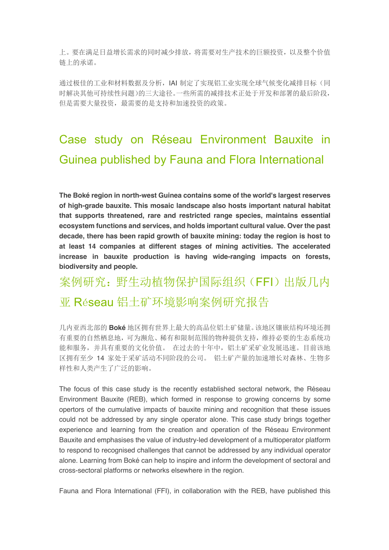上。要在满足日益增长需求的同时减少排放,将需要对生产技术的巨额投资,以及整个价值 链上的承诺。

通过极佳的工业和材料数据及分析,IAI 制定了实现铝工业实现全球气候变化减排目标(同 时解决其他可持续性问题)的三大途径。一些所需的减排技术正处于开发和部署的最后阶段, 但是需要大量投资,最需要的是支持和加速投资的政策。

# Case study on Réseau Environment Bauxite in Guinea published by Fauna and Flora International

**The Boké region in north-west Guinea contains some of the world's largest reserves of high-grade bauxite. This mosaic landscape also hosts important natural habitat that supports threatened, rare and restricted range species, maintains essential ecosystem functions and services, and holds important cultural value. Over the past decade, there has been rapid growth of bauxite mining: today the region is host to at least 14 companies at different stages of mining activities. The accelerated increase in bauxite production is having wide-ranging impacts on forests, biodiversity and people.**

# 案例研究:野生动植物保护国际组织(FFI)出版几内 亚 Réseau 铝土矿环境影响案例研究报告

几内亚西北部的 **Boké** 地区拥有世界上最大的高品位铝土矿储量。该地区镶嵌结构环境还拥 有重要的自然栖息地,可为濒危、稀有和限制范围的物种提供支持,维持必要的生态系统功 能和服务,并具有重要的文化价值。 在过去的十年中,铝土矿采矿业发展迅速。目前该地 区拥有至少 14 家处于采矿活动不同阶段的公司。 铝土矿产量的加速增长对森林、生物多 样性和人类产生了广泛的影响。

The focus of this case study is the recently established sectoral network, the Réseau Environment Bauxite (REB), which formed in response to growing concerns by some opertors of the cumulative impacts of bauxite mining and recognition that these issues could not be addressed by any single operator alone. This case study brings together experience and learning from the creation and operation of the Réseau Environment Bauxite and emphasises the value of industry-led development of a multioperator platform to respond to recognised challenges that cannot be addressed by any individual operator alone. Learning from Boké can help to inspire and inform the development of sectoral and cross-sectoral platforms or networks elsewhere in the region.

Fauna and Flora International (FFI), in collaboration with the REB, have published this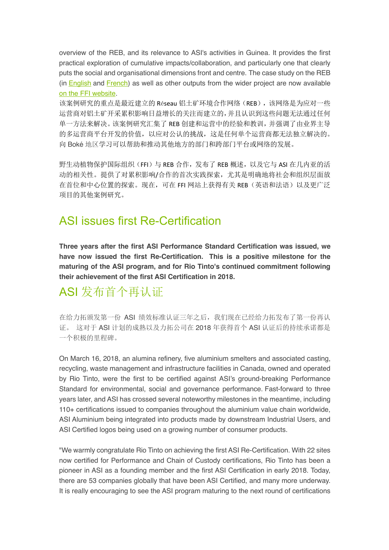overview of the REB, and its relevance to ASI's activities in Guinea. It provides the first practical exploration of cumulative impacts/collaboration, and particularly one that clearly puts the social and organisational dimensions front and centre. The case study on the REB (in English and French) as well as other outputs from the wider project are now available on the FFI website.

该案例研究的重点是最近建立的 Réseau 铝土矿环境合作网络(REB),该网络是为应对一些 运营商对铝土矿开采累积影响日益增长的关注而建立的,并且认识到这些问题无法通过任何 单一方法来解决。该案例研究汇集了 REB 创建和运营中的经验和教训,并强调了由业界主导 的多运营商平台开发的价值,以应对公认的挑战,这是任何单个运营商都无法独立解决的。 向 Boké 地区学习可以帮助和推动其他地方的部门和跨部门平台或网络的发展。

野生动植物保护国际组织(FFI)与 REB 合作,发布了 REB 概述,以及它与 ASI 在几内亚的活 动的相关性。提供了对累积影响/合作的首次实践探索,尤其是明确地将社会和组织层面放 在首位和中心位置的探索。现在,可在 FFI 网站上获得有关 REB(英语和法语)以及更广泛 项目的其他案例研究。

## ASI issues first Re-Certification

**Three years after the first ASI Performance Standard Certification was issued, we have now issued the first Re-Certification. This is a positive milestone for the maturing of the ASI program, and for Rio Tinto's continued commitment following their achievement of the first ASI Certification in 2018.**

# ASI 发布首个再认证

在给力拓颁发第一份 ASI 绩效标准认证三年之后, 我们现在已经给力拓发布了第一份再认 证。 这对于 ASI 计划的成熟以及力拓公司在 2018 年获得首个 ASI 认证后的持续承诺都是 一个积极的里程碑。

On March 16, 2018, an alumina refinery, five aluminium smelters and associated casting, recycling, waste management and infrastructure facilities in Canada, owned and operated by Rio Tinto, were the first to be certified against ASI's ground-breaking Performance Standard for environmental, social and governance performance. Fast-forward to three years later, and ASI has crossed several noteworthy milestones in the meantime, including 110+ certifications issued to companies throughout the aluminium value chain worldwide, ASI Aluminium being integrated into products made by downstream Industrial Users, and ASI Certified logos being used on a growing number of consumer products.

"We warmly congratulate Rio Tinto on achieving the first ASI Re-Certification. With 22 sites now certified for Performance and Chain of Custody certifications, Rio Tinto has been a pioneer in ASI as a founding member and the first ASI Certification in early 2018. Today, there are 53 companies globally that have been ASI Certified, and many more underway. It is really encouraging to see the ASI program maturing to the next round of certifications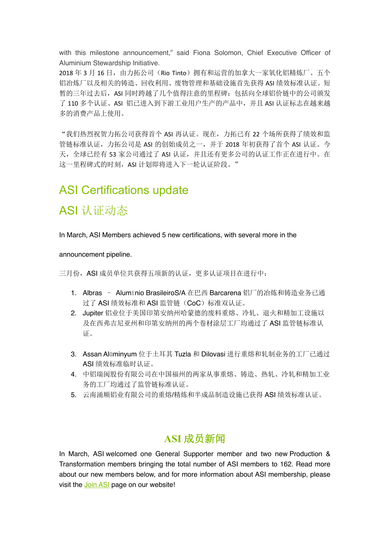with this milestone announcement," said Fiona Solomon, Chief Executive Officer of Aluminium Stewardship Initiative.

2018 年 3 月 16 日, 由力拓公司 (Rio Tinto) 拥有和运营的加拿大一家氧化铝精炼厂、五个 铝冶炼厂以及相关的铸造、回收利用、废物管理和基础设施首先获得 ASI 绩效标准认证。短 暂的三年过去后, ASI 同时跨越了几个值得注意的里程碑: 包括向全球铝价链中的公司颁发 了 110 多个认证、ASI 铝已进入到下游工业用户生产的产品中,并且 ASI 认证标志在越来越 多的消费产品上使用。

"我们热烈祝贺力拓公司获得首个 ASI 再认证。现在,力拓已有 22 个场所获得了绩效和监 管链标准认证,力拓公司是 ASI 的创始成员之一,并于 2018 年初获得了首个 ASI 认证。今 天,全球已经有 53 家公司通过了 ASI 认证,并且还有更多公司的认证工作正在进行中。在 这一里程碑式的时刻, ASI 计划即将进入下一轮认证阶段。"

# ASI Certifications update

## ASI 认证动态

In March, ASI Members achieved 5 new certifications, with several more in the

announcement pipeline.

三月份, ASI 成员单位共获得五项新的认证,更多认证项目在进行中:

- 1. Albras Alumínio BrasileiroS/A 在巴西 Barcarena 铝厂的冶炼和铸造业务已通 过了 ASI 绩效标准和 ASI 监管链(CoC)标准双认证。
- 2. Jupiter 铝业位于美国印第安纳州哈蒙德的废料重熔、冷轧、退火和精加工设施以 及在西弗吉尼亚州和印第安纳州的两个卷材涂层工厂均通过了 ASI 监管链标准认 证。
- 3. Assan Alüminyum 位于土耳其 Tuzla 和 Dilovasi 进行重熔和轧制业务的工厂已通过 ASI 绩效标准临时认证。
- 4. 中铝瑞闽股份有限公司在中国福州的两家从事重熔、铸造、热轧、冷轧和精加工业 务的工厂均通过了监管链标准认证。
- 5. 云南涌顺铝业有限公司的重熔/精炼和半成品制造设施已获得 ASI 绩效标准认证。

#### **ASI** 成员新闻

In March, ASI welcomed one General Supporter member and two new Production & Transformation members bringing the total number of ASI members to 162. Read more about our new members below, and for more information about ASI membership, please visit the Join ASI page on our website!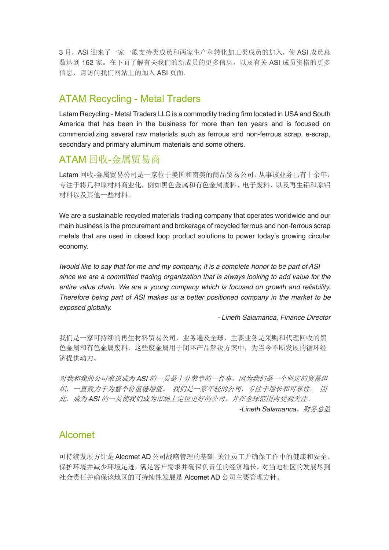3 月, ASI 迎来了一家一般支持类成员和两家生产和转化加工类成员的加入,使 ASI 成员总 数达到 162 家。在下面了解有关我们的新成员的更多信息,以及有关 ASI 成员资格的更多 信息,请访问我们网站上的加入 ASI 页面.

#### ATAM Recycling - Metal Traders

Latam Recycling - Metal Traders LLC is a commodity trading firm located in USA and South America that has been in the business for more than ten years and is focused on commercializing several raw materials such as ferrous and non-ferrous scrap, e-scrap, secondary and primary aluminum materials and some others.

#### ATAM 回收-金属贸易商

Latam 回收-金属贸易公司是一家位于美国和南美的商品贸易公司,从事该业务已有十余年, 专注于将几种原材料商业化,例如黑色金属和有色金属废料、电子废料、以及再生铝和原铝 材料以及其他一些材料。

We are a sustainable recycled materials trading company that operates worldwide and our main business is the procurement and brokerage of recycled ferrous and non-ferrous scrap metals that are used in closed loop product solutions to power today's growing circular economy.

*Iwould like to say that for me and my company, it is a complete honor to be part of ASI since we are a committed trading organization that is always looking to add value for the entire value chain. We are a young company which is focused on growth and reliability. Therefore being part of ASI makes us a better positioned company in the market to be exposed globally.*

*- Lineth Salamanca, Finance Director*

我们是一家可持续的再生材料贸易公司,业务遍及全球,主要业务是采购和代理回收的黑 色金属和有色金属废料,这些废金属用于闭环产品解决方案中,为当今不断发展的循环经 济提供动力。

对我和我的公司来说成为 *ASI* 的一员是十分荣幸的一件事,因为我们是一个坚定的贸易组 织,一直致力于为整个价值链增值。 我们是一家年轻的公司,专注于增长和可靠性。 因 此,成为 *ASI* 的一员使我们成为市场上定位更好的公司,并在全球范围内受到关注。 -Lineth Salamanca, 财务总监

#### Alcomet

可持续发展方针是 Alcomet AD 公司战略管理的基础。关注员工并确保工作中的健康和安全、 保护环境并减少环境足迹,满足客户需求并确保负责任的经济增长,对当地社区的发展尽到 社会责任并确保该地区的可持续性发展是 Alcomet AD 公司主要管理方针。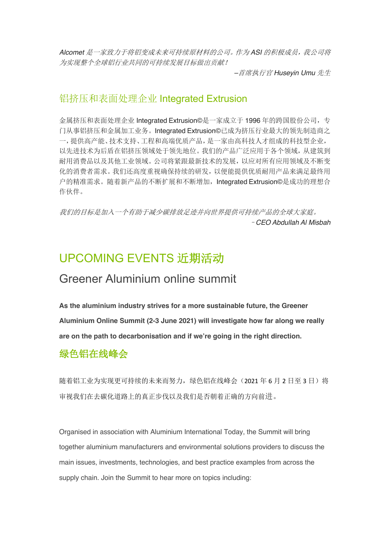*Alcomet* 是一家致力于将铝变成未来可持续原材料的公司。作为 *ASI* 的积极成员,我公司将 为实现整个全球铝行业共同的可持续发展目标做出贡献!

*–*首席执行官 *Huseyin Umu* 先生

#### 铝挤压和表面处理企业 Integrated Extrusion

金属挤压和表面处理企业 Integrated Extrusion©是一家成立于 1996 年的跨国股份公司,专 门从事铝挤压和金属加工业务。Integrated Extrusion©已成为挤压行业最大的领先制造商之 一,提供高产能、技术支持、工程和高端优质产品,是一家由高科技人才组成的科技型企业, 以先进技术为后盾在铝挤压领域处于领先地位。我们的产品广泛应用于各个领域,从建筑到 耐用消费品以及其他工业领域。公司将紧跟最新技术的发展,以应对所有应用领域及不断变 化的消费者需求。我们还高度重视确保持续的研发,以便能提供优质耐用产品来满足最终用 户的精准需求。随着新产品的不断扩展和不断增加,Integrated Extrusion©是成功的理想合 作伙伴。

我们的目标是加入一个有助于减少碳排放足迹并向世界提供可持续产品的全球大家庭。 –*CEO Abdullah Al Misbah*

### UPCOMING EVENTS 近期活动

#### Greener Aluminium online summit

**As the aluminium industry strives for a more sustainable future, the Greener Aluminium Online Summit (2-3 June 2021) will investigate how far along we really are on the path to decarbonisation and if we're going in the right direction.** 

#### 绿色铝在线峰会

随着铝工业为实现更可持续的未来而努力, 绿色铝在线峰会(2021年6月2日至3日)将 审视我们在去碳化道路上的真正步伐以及我们是否朝着正确的方向前进。

Organised in association with Aluminium International Today, the Summit will bring together aluminium manufacturers and environmental solutions providers to discuss the main issues, investments, technologies, and best practice examples from across the supply chain. Join the Summit to hear more on topics including: